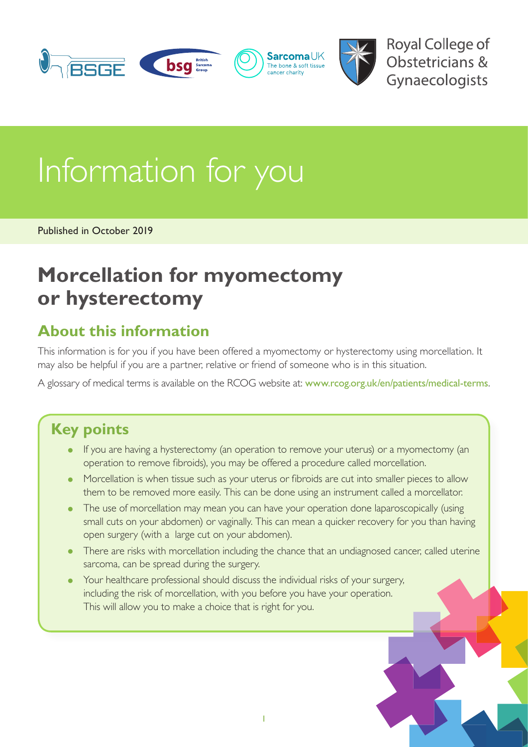

**Royal College of** Obstetricians & Gynaecologists

# Information for you

Published in October 2019

## **Morcellation for myomectomy or hysterectomy**

#### **About this information**

This information is for you if you have been offered a myomectomy or hysterectomy using morcellation. It may also be helpful if you are a partner, relative or friend of someone who is in this situation.

A glossary of medical terms is available on the RCOG website at: [www.rcog.org.uk/en/patients/medical-terms](https://www.rcog.org.uk/en/patients/medical-terms).

#### **Key points**

- If you are having a hysterectomy (an operation to remove your uterus) or a myomectomy (an operation to remove fibroids), you may be offered a procedure called morcellation.
- Morcellation is when tissue such as your uterus or fibroids are cut into smaller pieces to allow them to be removed more easily. This can be done using an instrument called a morcellator.
- The use of morcellation may mean you can have your operation done laparoscopically (using small cuts on your abdomen) or vaginally. This can mean a quicker recovery for you than having open surgery (with a large cut on your abdomen).
- There are risks with morcellation including the chance that an undiagnosed cancer, called uterine sarcoma, can be spread during the surgery.
- Your healthcare professional should discuss the individual risks of your surgery, including the risk of morcellation, with you before you have your operation. This will allow you to make a choice that is right for you.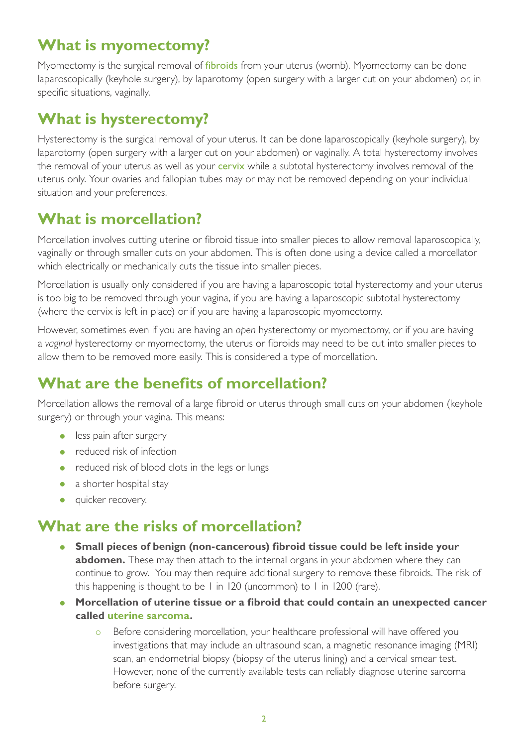### **What is myomectomy?**

Myomectomy is the surgical removal of *[fibroids](https://www.rcog.org.uk/en/patients/medical-terms#f)* from your uterus (womb). Myomectomy can be done laparoscopically (keyhole surgery), by laparotomy (open surgery with a larger cut on your abdomen) or, in specific situations, vaginally.

#### **What is hysterectomy?**

Hysterectomy is the surgical removal of your uterus. It can be done laparoscopically (keyhole surgery), by laparotomy (open surgery with a larger cut on your abdomen) or vaginally. A total hysterectomy involves the removal of your uterus as well as your **cervix** while a subtotal hysterectomy involves removal of the uterus only. Your ovaries and fallopian tubes may or may not be removed depending on your individual situation and your preferences.

### **What is morcellation?**

Morcellation involves cutting uterine or fibroid tissue into smaller pieces to allow removal laparoscopically, vaginally or through smaller cuts on your abdomen. This is often done using a device called a morcellator which electrically or mechanically cuts the tissue into smaller pieces.

Morcellation is usually only considered if you are having a laparoscopic total hysterectomy and your uterus is too big to be removed through your vagina, if you are having a laparoscopic subtotal hysterectomy (where the cervix is left in place) or if you are having a laparoscopic myomectomy.

However, sometimes even if you are having an *open* hysterectomy or myomectomy, or if you are having a *vaginal* hysterectomy or myomectomy, the uterus or fibroids may need to be cut into smaller pieces to allow them to be removed more easily. This is considered a type of morcellation.

#### **What are the benefits of morcellation?**

Morcellation allows the removal of a large fibroid or uterus through small cuts on your abdomen (keyhole surgery) or through your vagina. This means:

- less pain after surgery
- reduced risk of infection
- reduced risk of blood clots in the legs or lungs
- a shorter hospital stay
- quicker recovery.

#### **What are the risks of morcellation?**

- **Small pieces of benign (non-cancerous) fibroid tissue could be left inside your abdomen.** These may then attach to the internal organs in your abdomen where they can continue to grow. You may then require additional surgery to remove these fibroids. The risk of this happening is thought to be 1 in 120 (uncommon) to 1 in 1200 (rare).
- **Morcellation of uterine tissue or a fibroid that could contain an unexpected cancer called [uterine sarcoma](https://www.rcog.org.uk/en/patients/medical-terms#u).**
	- **EXEL Before considering morcellation, your healthcare professional will have offered you** investigations that may include an ultrasound scan, a magnetic resonance imaging (MRI) scan, an endometrial biopsy (biopsy of the uterus lining) and a cervical smear test. However, none of the currently available tests can reliably diagnose uterine sarcoma before surgery.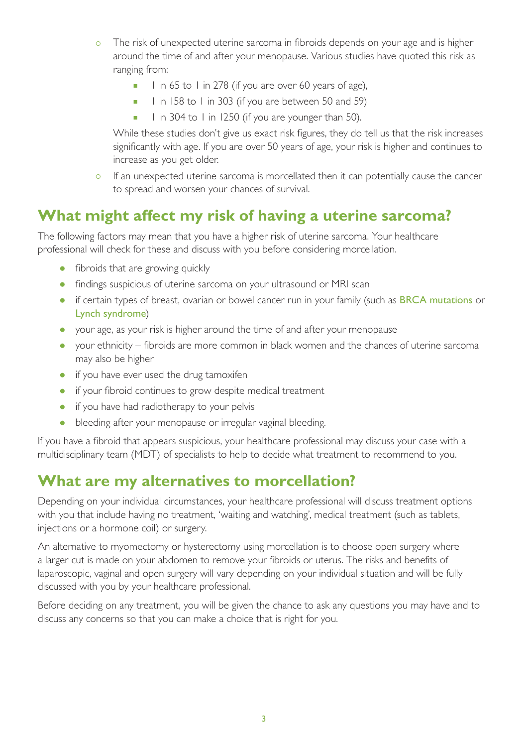- o The risk of unexpected uterine sarcoma in fibroids depends on your age and is higher around the time of and after your menopause. Various studies have quoted this risk as ranging from:
	- $\blacksquare$  l in 65 to 1 in 278 (if you are over 60 years of age),
	- 1 in 158 to 1 in 303 (if you are between 50 and 59)
	- $\blacksquare$  I in 304 to I in 1250 (if you are younger than 50).

While these studies don't give us exact risk figures, they do tell us that the risk increases significantly with age. If you are over 50 years of age, your risk is higher and continues to increase as you get older.

o If an unexpected uterine sarcoma is morcellated then it can potentially cause the cancer to spread and worsen your chances of survival.

#### **What might affect my risk of having a uterine sarcoma?**

The following factors may mean that you have a higher risk of uterine sarcoma. Your healthcare professional will check for these and discuss with you before considering morcellation.

- fibroids that are growing quickly
- findings suspicious of uterine sarcoma on your ultrasound or MRI scan
- if certain types of breast, ovarian or bowel cancer run in your family (such as [BRCA mutations](https://www.rcog.org.uk/en/patients/medical-terms#b) or [Lynch syndrome](https://www.rcog.org.uk/en/patients/medical-terms#l))
- your age, as your risk is higher around the time of and after your menopause
- your ethnicity fibroids are more common in black women and the chances of uterine sarcoma may also be higher
- if you have ever used the drug tamoxifen
- if your fibroid continues to grow despite medical treatment
- if you have had radiotherapy to your pelvis
- bleeding after your menopause or irregular vaginal bleeding.

If you have a fibroid that appears suspicious, your healthcare professional may discuss your case with a multidisciplinary team (MDT) of specialists to help to decide what treatment to recommend to you.

#### **What are my alternatives to morcellation?**

Depending on your individual circumstances, your healthcare professional will discuss treatment options with you that include having no treatment, 'waiting and watching', medical treatment (such as tablets, injections or a hormone coil) or surgery.

An alternative to myomectomy or hysterectomy using morcellation is to choose open surgery where a larger cut is made on your abdomen to remove your fibroids or uterus. The risks and benefits of laparoscopic, vaginal and open surgery will vary depending on your individual situation and will be fully discussed with you by your healthcare professional.

Before deciding on any treatment, you will be given the chance to ask any questions you may have and to discuss any concerns so that you can make a choice that is right for you.